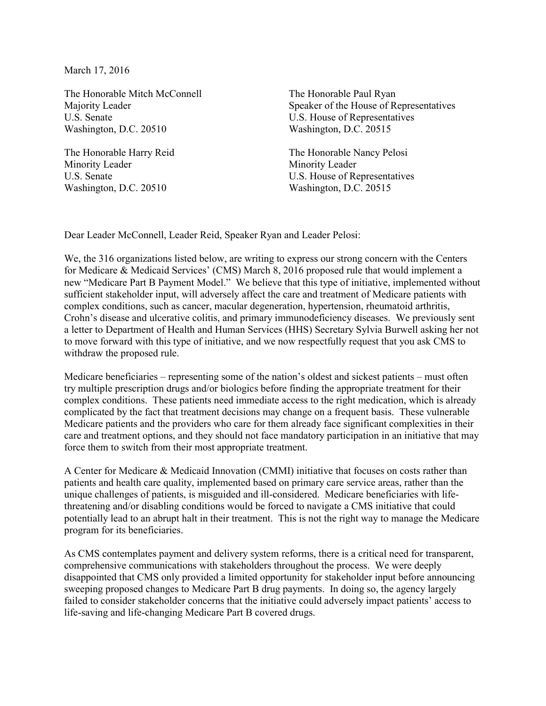March 17, 2016

The Honorable Mitch McConnell Majority Leader U.S. Senate Washington, D.C. 20510

The Honorable Harry Reid Minority Leader U.S. Senate Washington, D.C. 20510

The Honorable Paul Ryan Speaker of the House of Representatives U.S. House of Representatives Washington, D.C. 20515

The Honorable Nancy Pelosi Minority Leader U.S. House of Representatives Washington, D.C. 20515

Dear Leader McConnell, Leader Reid, Speaker Ryan and Leader Pelosi:

We, the 316 organizations listed below, are writing to express our strong concern with the Centers for Medicare & Medicaid Services' (CMS) March 8, 2016 proposed rule that would implement a new "Medicare Part B Payment Model." We believe that this type of initiative, implemented without sufficient stakeholder input, will adversely affect the care and treatment of Medicare patients with complex conditions, such as cancer, macular degeneration, hypertension, rheumatoid arthritis, Crohn's disease and ulcerative colitis, and primary immunodeficiency diseases. We previously sent a letter to Department of Health and Human Services (HHS) Secretary Sylvia Burwell asking her not to move forward with this type of initiative, and we now respectfully request that you ask CMS to withdraw the proposed rule.

Medicare beneficiaries – representing some of the nation's oldest and sickest patients – must often try multiple prescription drugs and/or biologics before finding the appropriate treatment for their complex conditions. These patients need immediate access to the right medication, which is already complicated by the fact that treatment decisions may change on a frequent basis. These vulnerable Medicare patients and the providers who care for them already face significant complexities in their care and treatment options, and they should not face mandatory participation in an initiative that may force them to switch from their most appropriate treatment.

A Center for Medicare & Medicaid Innovation (CMMI) initiative that focuses on costs rather than patients and health care quality, implemented based on primary care service areas, rather than the unique challenges of patients, is misguided and ill-considered. Medicare beneficiaries with lifethreatening and/or disabling conditions would be forced to navigate a CMS initiative that could potentially lead to an abrupt halt in their treatment. This is not the right way to manage the Medicare program for its beneficiaries.

As CMS contemplates payment and delivery system reforms, there is a critical need for transparent, comprehensive communications with stakeholders throughout the process. We were deeply disappointed that CMS only provided a limited opportunity for stakeholder input before announcing sweeping proposed changes to Medicare Part B drug payments. In doing so, the agency largely failed to consider stakeholder concerns that the initiative could adversely impact patients' access to life-saving and life-changing Medicare Part B covered drugs.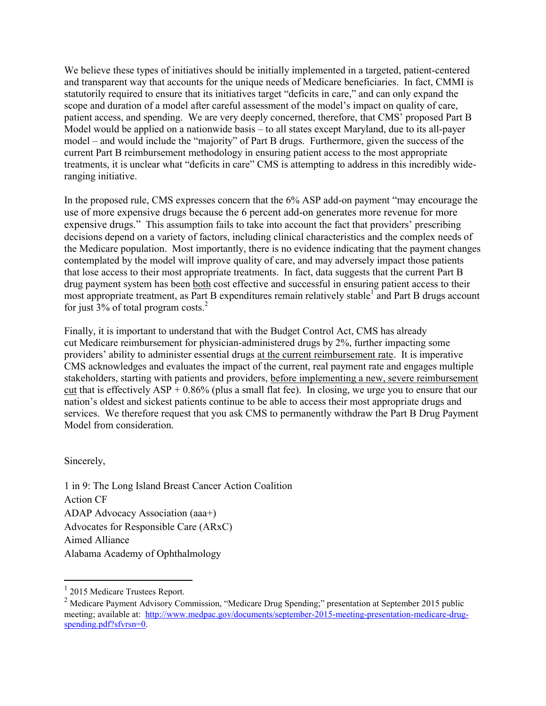We believe these types of initiatives should be initially implemented in a targeted, patient-centered and transparent way that accounts for the unique needs of Medicare beneficiaries. In fact, CMMI is statutorily required to ensure that its initiatives target "deficits in care," and can only expand the scope and duration of a model after careful assessment of the model's impact on quality of care, patient access, and spending. We are very deeply concerned, therefore, that CMS' proposed Part B Model would be applied on a nationwide basis – to all states except Maryland, due to its all-payer model – and would include the "majority" of Part B drugs. Furthermore, given the success of the current Part B reimbursement methodology in ensuring patient access to the most appropriate treatments, it is unclear what "deficits in care" CMS is attempting to address in this incredibly wideranging initiative.

In the proposed rule, CMS expresses concern that the 6% ASP add-on payment "may encourage the use of more expensive drugs because the 6 percent add-on generates more revenue for more expensive drugs." This assumption fails to take into account the fact that providers' prescribing decisions depend on a variety of factors, including clinical characteristics and the complex needs of the Medicare population. Most importantly, there is no evidence indicating that the payment changes contemplated by the model will improve quality of care, and may adversely impact those patients that lose access to their most appropriate treatments. In fact, data suggests that the current Part B drug payment system has been both cost effective and successful in ensuring patient access to their most appropriate treatment, as Part B expenditures remain relatively stable<sup>1</sup> and Part B drugs account for just  $3\%$  of total program costs.<sup>2</sup>

Finally, it is important to understand that with the Budget Control Act, CMS has already cut Medicare reimbursement for physician-administered drugs by 2%, further impacting some providers' ability to administer essential drugs at the current reimbursement rate. It is imperative CMS acknowledges and evaluates the impact of the current, real payment rate and engages multiple stakeholders, starting with patients and providers, before implementing a new, severe reimbursement cut that is effectively  $ASP + 0.86\%$  (plus a small flat fee). In closing, we urge you to ensure that our nation's oldest and sickest patients continue to be able to access their most appropriate drugs and services. We therefore request that you ask CMS to permanently withdraw the Part B Drug Payment Model from consideration.

Sincerely,

1 in 9: The Long Island Breast Cancer Action Coalition Action CF ADAP Advocacy Association (aaa+) Advocates for Responsible Care (ARxC) Aimed Alliance Alabama Academy of Ophthalmology

 <sup>1</sup> <sup>2015</sup> Medicare Trustees Report.

<sup>&</sup>lt;sup>2</sup> Medicare Payment Advisory Commission, "Medicare Drug Spending;" presentation at September 2015 public meeting; available at: [http://www.medpac.gov/documents/september-2015-meeting-presentation-medicare-drug](http://www.medpac.gov/documents/september-2015-meeting-presentation-medicare-drug-spending.pdf?sfvrsn=0)[spending.pdf?sfvrsn=0.](http://www.medpac.gov/documents/september-2015-meeting-presentation-medicare-drug-spending.pdf?sfvrsn=0)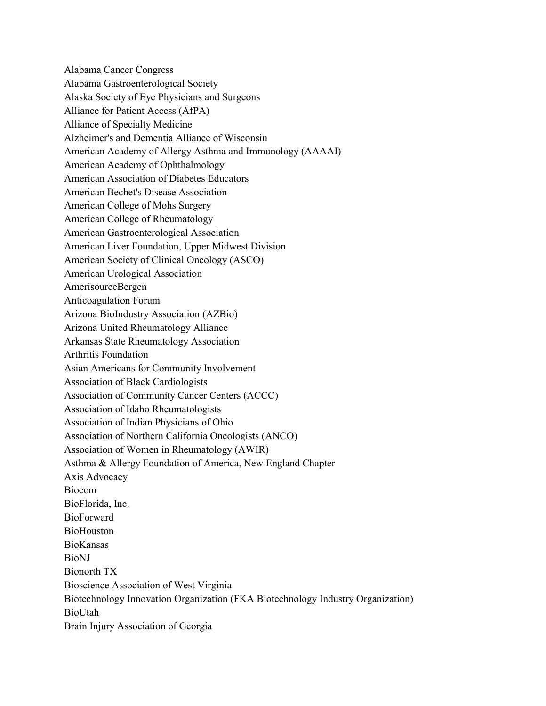Alabama Cancer Congress Alabama Gastroenterological Society Alaska Society of Eye Physicians and Surgeons Alliance for Patient Access (AfPA) Alliance of Specialty Medicine Alzheimer's and Dementia Alliance of Wisconsin American Academy of Allergy Asthma and Immunology (AAAAI) American Academy of Ophthalmology American Association of Diabetes Educators American Bechet's Disease Association American College of Mohs Surgery American College of Rheumatology American Gastroenterological Association American Liver Foundation, Upper Midwest Division American Society of Clinical Oncology (ASCO) American Urological Association AmerisourceBergen Anticoagulation Forum Arizona BioIndustry Association (AZBio) Arizona United Rheumatology Alliance Arkansas State Rheumatology Association Arthritis Foundation Asian Americans for Community Involvement Association of Black Cardiologists Association of Community Cancer Centers (ACCC) Association of Idaho Rheumatologists Association of Indian Physicians of Ohio Association of Northern California Oncologists (ANCO) Association of Women in Rheumatology (AWIR) Asthma & Allergy Foundation of America, New England Chapter Axis Advocacy Biocom BioFlorida, Inc. BioForward **BioHouston** BioKansas BioNJ Bionorth TX Bioscience Association of West Virginia Biotechnology Innovation Organization (FKA Biotechnology Industry Organization) BioUtah Brain Injury Association of Georgia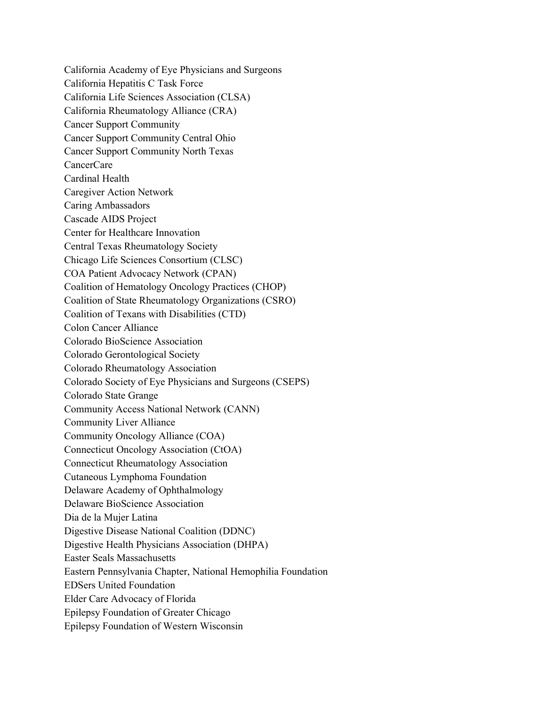California Academy of Eye Physicians and Surgeons California Hepatitis C Task Force California Life Sciences Association (CLSA) California Rheumatology Alliance (CRA) Cancer Support Community Cancer Support Community Central Ohio Cancer Support Community North Texas CancerCare Cardinal Health Caregiver Action Network Caring Ambassadors Cascade AIDS Project Center for Healthcare Innovation Central Texas Rheumatology Society Chicago Life Sciences Consortium (CLSC) COA Patient Advocacy Network (CPAN) Coalition of Hematology Oncology Practices (CHOP) Coalition of State Rheumatology Organizations (CSRO) Coalition of Texans with Disabilities (CTD) Colon Cancer Alliance Colorado BioScience Association Colorado Gerontological Society Colorado Rheumatology Association Colorado Society of Eye Physicians and Surgeons (CSEPS) Colorado State Grange Community Access National Network (CANN) Community Liver Alliance Community Oncology Alliance (COA) Connecticut Oncology Association (CtOA) Connecticut Rheumatology Association Cutaneous Lymphoma Foundation Delaware Academy of Ophthalmology Delaware BioScience Association Dia de la Mujer Latina Digestive Disease National Coalition (DDNC) Digestive Health Physicians Association (DHPA) Easter Seals Massachusetts Eastern Pennsylvania Chapter, National Hemophilia Foundation EDSers United Foundation Elder Care Advocacy of Florida Epilepsy Foundation of Greater Chicago Epilepsy Foundation of Western Wisconsin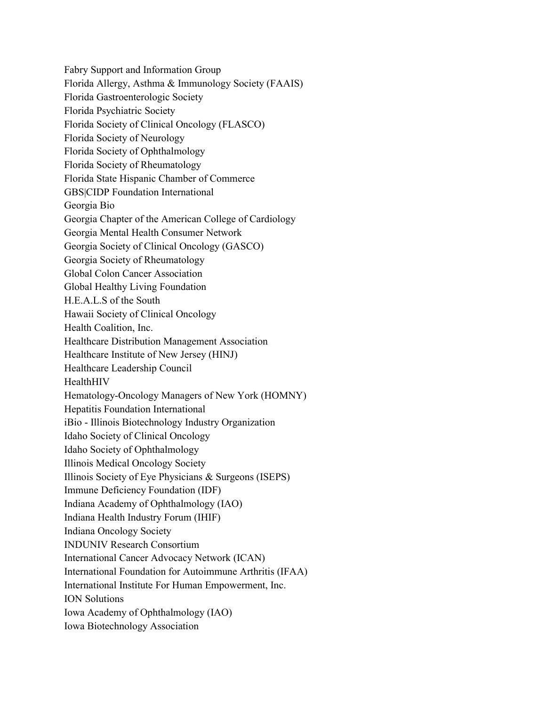Fabry Support and Information Group Florida Allergy, Asthma & Immunology Society (FAAIS) Florida Gastroenterologic Society Florida Psychiatric Society Florida Society of Clinical Oncology (FLASCO) Florida Society of Neurology Florida Society of Ophthalmology Florida Society of Rheumatology Florida State Hispanic Chamber of Commerce GBS|CIDP Foundation International Georgia Bio Georgia Chapter of the American College of Cardiology Georgia Mental Health Consumer Network Georgia Society of Clinical Oncology (GASCO) Georgia Society of Rheumatology Global Colon Cancer Association Global Healthy Living Foundation H.E.A.L.S of the South Hawaii Society of Clinical Oncology Health Coalition, Inc. Healthcare Distribution Management Association Healthcare Institute of New Jersey (HINJ) Healthcare Leadership Council HealthHIV Hematology-Oncology Managers of New York (HOMNY) Hepatitis Foundation International iBio - Illinois Biotechnology Industry Organization Idaho Society of Clinical Oncology Idaho Society of Ophthalmology Illinois Medical Oncology Society Illinois Society of Eye Physicians & Surgeons (ISEPS) Immune Deficiency Foundation (IDF) Indiana Academy of Ophthalmology (IAO) Indiana Health Industry Forum (IHIF) Indiana Oncology Society INDUNIV Research Consortium International Cancer Advocacy Network (ICAN) International Foundation for Autoimmune Arthritis (IFAA) International Institute For Human Empowerment, Inc. ION Solutions Iowa Academy of Ophthalmology (IAO) Iowa Biotechnology Association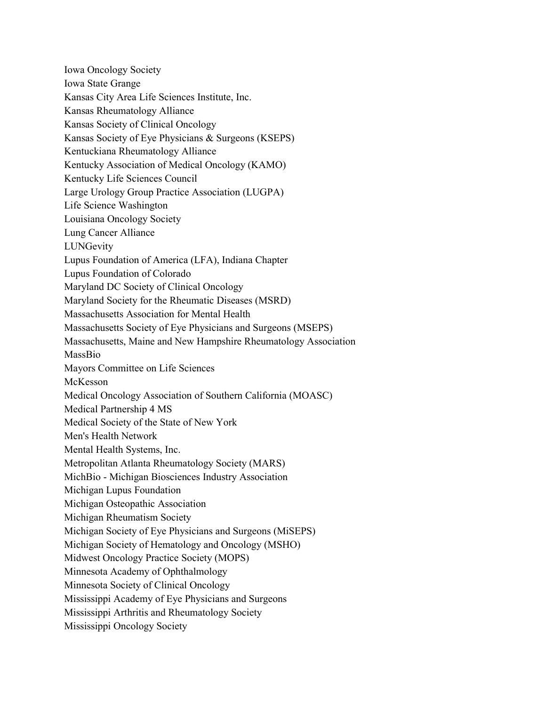Iowa Oncology Society Iowa State Grange Kansas City Area Life Sciences Institute, Inc. Kansas Rheumatology Alliance Kansas Society of Clinical Oncology Kansas Society of Eye Physicians & Surgeons (KSEPS) Kentuckiana Rheumatology Alliance Kentucky Association of Medical Oncology (KAMO) Kentucky Life Sciences Council Large Urology Group Practice Association (LUGPA) Life Science Washington Louisiana Oncology Society Lung Cancer Alliance **LUNGevity** Lupus Foundation of America (LFA), Indiana Chapter Lupus Foundation of Colorado Maryland DC Society of Clinical Oncology Maryland Society for the Rheumatic Diseases (MSRD) Massachusetts Association for Mental Health Massachusetts Society of Eye Physicians and Surgeons (MSEPS) Massachusetts, Maine and New Hampshire Rheumatology Association MassBio Mayors Committee on Life Sciences McKesson Medical Oncology Association of Southern California (MOASC) Medical Partnership 4 MS Medical Society of the State of New York Men's Health Network Mental Health Systems, Inc. Metropolitan Atlanta Rheumatology Society (MARS) MichBio - Michigan Biosciences Industry Association Michigan Lupus Foundation Michigan Osteopathic Association Michigan Rheumatism Society Michigan Society of Eye Physicians and Surgeons (MiSEPS) Michigan Society of Hematology and Oncology (MSHO) Midwest Oncology Practice Society (MOPS) Minnesota Academy of Ophthalmology Minnesota Society of Clinical Oncology Mississippi Academy of Eye Physicians and Surgeons Mississippi Arthritis and Rheumatology Society Mississippi Oncology Society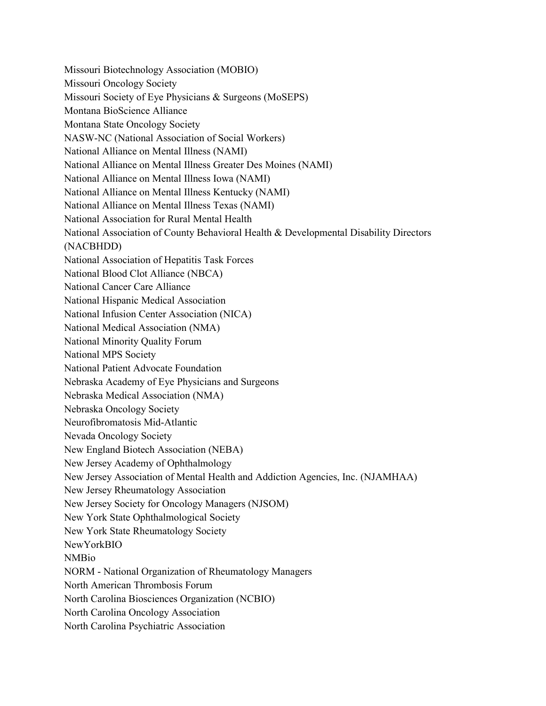Missouri Biotechnology Association (MOBIO) Missouri Oncology Society Missouri Society of Eye Physicians & Surgeons (MoSEPS) Montana BioScience Alliance Montana State Oncology Society NASW-NC (National Association of Social Workers) National Alliance on Mental Illness (NAMI) National Alliance on Mental Illness Greater Des Moines (NAMI) National Alliance on Mental Illness Iowa (NAMI) National Alliance on Mental Illness Kentucky (NAMI) National Alliance on Mental Illness Texas (NAMI) National Association for Rural Mental Health National Association of County Behavioral Health & Developmental Disability Directors (NACBHDD) National Association of Hepatitis Task Forces National Blood Clot Alliance (NBCA) National Cancer Care Alliance National Hispanic Medical Association National Infusion Center Association (NICA) National Medical Association (NMA) National Minority Quality Forum National MPS Society National Patient Advocate Foundation Nebraska Academy of Eye Physicians and Surgeons Nebraska Medical Association (NMA) Nebraska Oncology Society Neurofibromatosis Mid-Atlantic Nevada Oncology Society New England Biotech Association (NEBA) New Jersey Academy of Ophthalmology New Jersey Association of Mental Health and Addiction Agencies, Inc. (NJAMHAA) New Jersey Rheumatology Association New Jersey Society for Oncology Managers (NJSOM) New York State Ophthalmological Society New York State Rheumatology Society NewYorkBIO NMBio NORM - National Organization of Rheumatology Managers North American Thrombosis Forum North Carolina Biosciences Organization (NCBIO) North Carolina Oncology Association North Carolina Psychiatric Association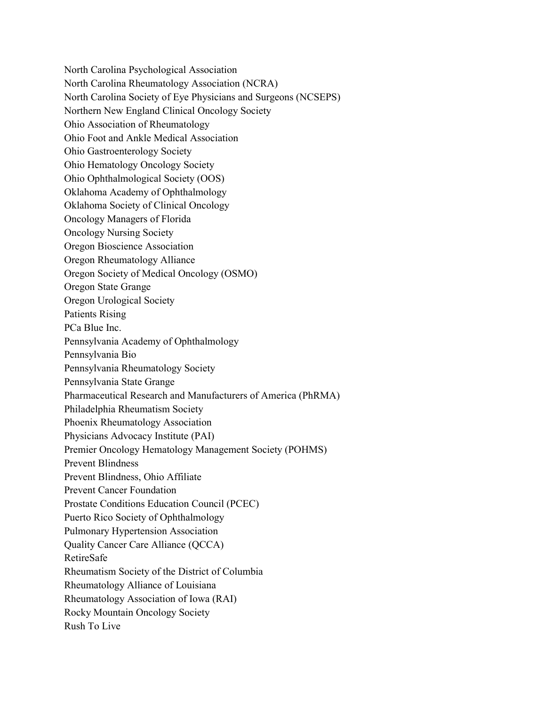North Carolina Psychological Association North Carolina Rheumatology Association (NCRA) North Carolina Society of Eye Physicians and Surgeons (NCSEPS) Northern New England Clinical Oncology Society Ohio Association of Rheumatology Ohio Foot and Ankle Medical Association Ohio Gastroenterology Society Ohio Hematology Oncology Society Ohio Ophthalmological Society (OOS) Oklahoma Academy of Ophthalmology Oklahoma Society of Clinical Oncology Oncology Managers of Florida Oncology Nursing Society Oregon Bioscience Association Oregon Rheumatology Alliance Oregon Society of Medical Oncology (OSMO) Oregon State Grange Oregon Urological Society Patients Rising PCa Blue Inc. Pennsylvania Academy of Ophthalmology Pennsylvania Bio Pennsylvania Rheumatology Society Pennsylvania State Grange Pharmaceutical Research and Manufacturers of America (PhRMA) Philadelphia Rheumatism Society Phoenix Rheumatology Association Physicians Advocacy Institute (PAI) Premier Oncology Hematology Management Society (POHMS) Prevent Blindness Prevent Blindness, Ohio Affiliate Prevent Cancer Foundation Prostate Conditions Education Council (PCEC) Puerto Rico Society of Ophthalmology Pulmonary Hypertension Association Quality Cancer Care Alliance (QCCA) RetireSafe Rheumatism Society of the District of Columbia Rheumatology Alliance of Louisiana Rheumatology Association of Iowa (RAI) Rocky Mountain Oncology Society Rush To Live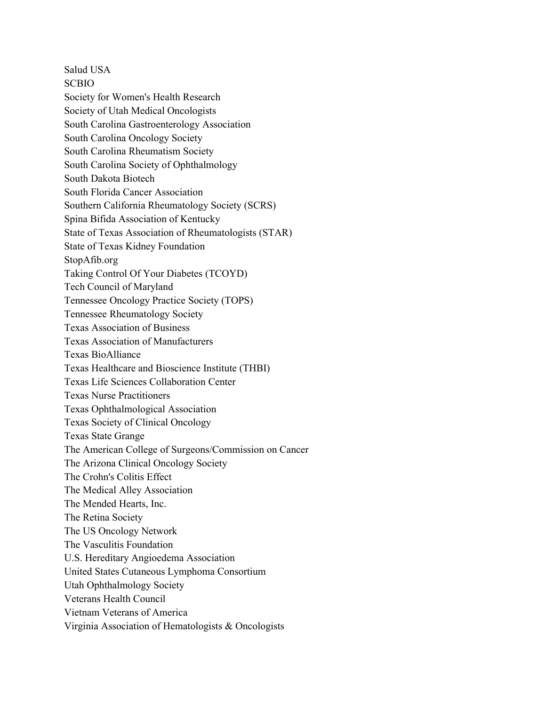Salud USA SCBIO Society for Women's Health Research Society of Utah Medical Oncologists South Carolina Gastroenterology Association South Carolina Oncology Society South Carolina Rheumatism Society South Carolina Society of Ophthalmology South Dakota Biotech South Florida Cancer Association Southern California Rheumatology Society (SCRS) Spina Bifida Association of Kentucky State of Texas Association of Rheumatologists (STAR) State of Texas Kidney Foundation StopAfib.org Taking Control Of Your Diabetes (TCOYD) Tech Council of Maryland Tennessee Oncology Practice Society (TOPS) Tennessee Rheumatology Society Texas Association of Business Texas Association of Manufacturers Texas BioAlliance Texas Healthcare and Bioscience Institute (THBI) Texas Life Sciences Collaboration Center Texas Nurse Practitioners Texas Ophthalmological Association Texas Society of Clinical Oncology Texas State Grange The American College of Surgeons/Commission on Cancer The Arizona Clinical Oncology Society The Crohn's Colitis Effect The Medical Alley Association The Mended Hearts, Inc. The Retina Society The US Oncology Network The Vasculitis Foundation U.S. Hereditary Angioedema Association United States Cutaneous Lymphoma Consortium Utah Ophthalmology Society Veterans Health Council Vietnam Veterans of America Virginia Association of Hematologists & Oncologists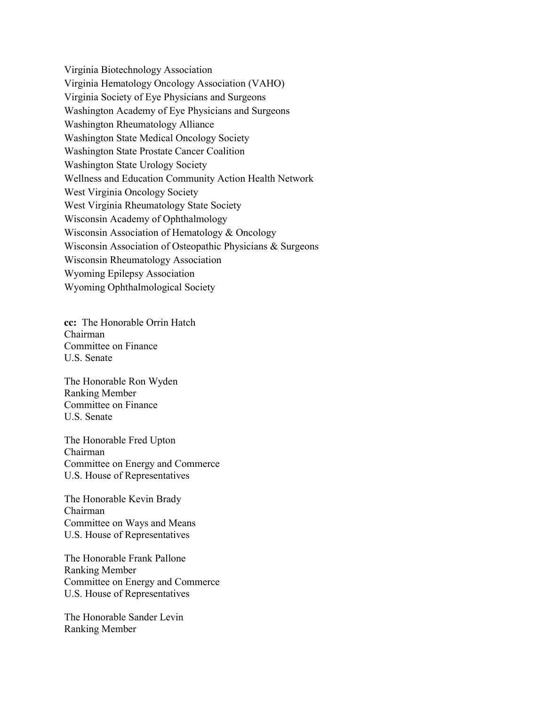Virginia Biotechnology Association Virginia Hematology Oncology Association (VAHO) Virginia Society of Eye Physicians and Surgeons Washington Academy of Eye Physicians and Surgeons Washington Rheumatology Alliance Washington State Medical Oncology Society Washington State Prostate Cancer Coalition Washington State Urology Society Wellness and Education Community Action Health Network West Virginia Oncology Society West Virginia Rheumatology State Society Wisconsin Academy of Ophthalmology Wisconsin Association of Hematology & Oncology Wisconsin Association of Osteopathic Physicians & Surgeons Wisconsin Rheumatology Association Wyoming Epilepsy Association Wyoming Ophthalmological Society

**cc:** The Honorable Orrin Hatch Chairman Committee on Finance U.S. Senate

The Honorable Ron Wyden Ranking Member Committee on Finance U.S. Senate

The Honorable Fred Upton Chairman Committee on Energy and Commerce U.S. House of Representatives

The Honorable Kevin Brady Chairman Committee on Ways and Means U.S. House of Representatives

The Honorable Frank Pallone Ranking Member Committee on Energy and Commerce U.S. House of Representatives

The Honorable Sander Levin Ranking Member